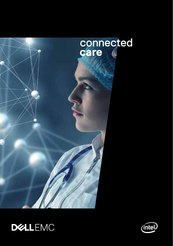



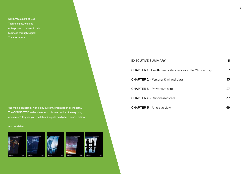Dell EMC, a part of Dell Technologies, enables enterprises to reinvent their business through Digital Transformation.

'No man is an island.' Nor is any system, organization or industry. The CONNECTED series dives into this new reality of 'everything connected'. It gives you the latest insights on digital transformation.

### Also available:



| <b>EXECUTIVE SUMMARY</b>                                              | 5  |
|-----------------------------------------------------------------------|----|
| <b>CHAPTER 1 - Healthcare &amp; life sciences in the 21st century</b> | 7  |
| <b>CHAPTER 2</b> - Personal & clinical data                           | 13 |
| <b>CHAPTER 3</b> - Preventive care                                    | 27 |
| <b>CHAPTER 4</b> - Personalized care                                  | 37 |
| <b>CHAPTER 5 - A holistic view</b>                                    | 49 |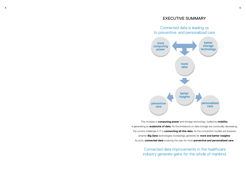### EXECUTIVE SUMMARY

Connected data is leading us to preventive and personalized care



The increase in **computing power** and storage technology, fuelled by **mobility**, is generating an **avalanche of data**. As the limitations on data storage are continually decreasing, the current challenge in IT is **connecting all this data**. As the connection hurdles are lowered, smarter **Big Data** technologies increasingly generate far **more and better insights**. As such, **connected data** is paving the way for more **preventive and personalized care.**

> Connected data improvements in the healthcare industry generate gains for the whole of mankind.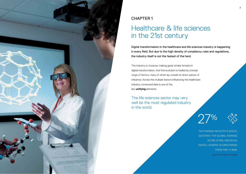

### CHAPTER 1

## Healthcare & life sciences in the 21st century

Digital transformation in the healthcare and life sciences industry is happening in every field. But due to the high density of compliancy rules and regulations, the industry itself is not the fastest of the herd.

The industry is, however, making great strides forward in digital transformation. And this evolution is fuelled by a broad range of factors, many of which lay outside its direct sphere of influence. Across the multiple factors influencing the healthcare industry, connected data is one of the key **unifying** elements.

The life sciences sector may very well be the most regulated industry in the world.

27 %



THE PHARMA INDUSTRY'S DIGITAL QUOTIENT. THE GLOBAL AVERAGE SCORE IS 33%. INDIVIDUAL DIGITAL LEADERS' SCORES RANGE FROM 70% TO 80%. Source: McKinsey & Company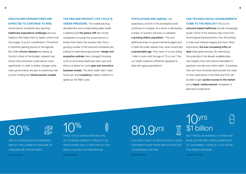### **HEALTHCARE EXPENDITURES ARE EXPECTED TO CONTINUE TO RISE.**

Governments worldwide face daunting healthcare expenditure challenges and any measure that helps them to regain control over the budget, is up for consideration. Prevention is therefore gaining ground on the agenda. But while **chronic diseases** are eating up the lion's share of the budget, research has shown that prevention could reduce costs significantly. In order to better manage costs, many governments are also re-examining their current funding and reimbursement models.

**THE R&D AND PRODUCT LIFE CYCLE IS UNDER PRESSURE.** The traditional drug development and corresponding sales model is faltering and the patent cliff also forces companies to recoup the investments in a limited time frame. No surprise then that a growing number of life sciences companies are looking for alternative approaches: merger and acquisition policies have changed (focusing more on promising healthcare start-ups) and there is a desire for more open and innovative business models. The silver bullet hasn't been found yet, and **compliancy** makes it difficult to speed up the R&D cycle.

**POPULATIONS ARE AGEING.** Life expectancy at birth in the developed world continues to increase. As a result, a decreasing number of workers will have to subsidize a growing elderly population. This puts additional strain on governmental budgets and it fuels the public debate over what constitutes a pensionable age. How many of us are willing / able to work until the age of 70 or over? Are our health systems sufficiently equipped to deal with aging populations?

### **CAN TECHNOLOGICAL ADVANCEMENTS COME TO THE RESCUE?** The cry for

outcome-based healthcare sounds increasingly louder. Some of the answers may come from technological advancements, from 3D printing to improved medical imaging and more. Most importantly, the ever-increasing influx of data holds great promise. By maximizing the potential of the already available data, new insights that were before impossible to generate now become within reach. Companies that can more forcefully demonstrate the value of their treatments to the EMA and FDA will be able to gain quicker access to the market and a higher reimbursement compared to alternative treatments.

80%

80% OF CARDIOVASCULAR DISEASES, 90% OF TYPE II DIABETES AND 50% OF CANCERS ARE PREVENTABLE. Source: Eurostat



WHILE THE EU SPENDS AROUND 10% OF ITS GROSS DOMESTIC PRODUCT ON HEALTHCARE, ONLY A FRACTION OF THIS (3%) IS FOCUSED ON PREVENTION. Source: Eurostat

青

## 80.9yrs

LIFE EXPECTANCY AT BIRTH IN THE EU (2014) HAS RISEN TO 80.9 YEARS AND IS EXPECTED TO INCREASE FURTHER. Source: Eurostat

## 10yrs \$1 billion

**SIGI** 

AS IT TAKES, ON AVERAGE, 10 YEARS AND \$1 BILLION BEFORE A DRUG IS BROUGHT TO THE MARKET, THERE IS LITTLE ROOM FOR ERROR ANYMORE. Source: Tufts CSDD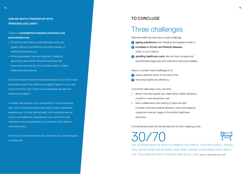### **CAN WE MATCH PREVENTIVE WITH PERSONALIZED CARE?**

There is a **contradiction between preventive and personalized care.** 

- **•** Preventive care helps to avoid illnesses which can greatly improve the efficiency and effectiveness of healthcare expenditures.
- **•** More personalized care and medicine (fuelled by genomics) mean better attuned treatments and improved outcomes but this could also lead to higher healthcare expenditures.

Can the evolution towards more personalized care (which could potentially burden the healthcare budget) happen in sync with more preventive care (which could potentially alleviate the healthcare budget)?

In a best case scenario, the combination of more preventive care, with more personalized care leads to lower healthcare expenditures. In a less optimal case, both evolutions are not in sync and healthcare expenditures may continue to rise whenever more personalization is combined with a delay in more prevention.

Efforts and investments from the whole industry will be required to tackle this.

### TO CONCLUDE

### Three challenges

National health services face a triple challenge:

- **1** ageing populations and changing demographics lead to
- **2** increases in chronic and lifestyle diseases, which, in turn, lead to
- **3** spiralling healthcare costs, also as more complex and sophisticated diagnoses and treatments become available.

Ways to combat these challenges is to:

- **1** reduce demand while, at the same time,
- **2** improving healthcare efficiency.

Connected data plays a key role here:

- **•** Better informed people can make better health decisions, crucial for more preventive care.
- **•** More collaboration and sharing of data can lead to better informed medical decisions, improved research overall and smarter usage of the limited healthcare resources.

Connected personal and clinical data are the first stepping stone.

30/70



THE UK DEPARTMENT OF HEALTH ESTIMATES THAT 30% OF THE POPULATION (= PEOPLE WHO SUFFER FROM ONE OR MORE LONG-TERM CHRONIC CONDITIONS) COSTS 70% OF THE TOTAL AMOUNT SPENT ON HEALTH AND SOCIAL CARE. Source: Volterra Partners, 2014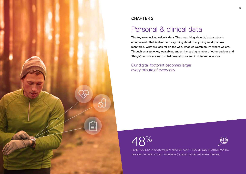

### CHAPTER 2

## Personal & clinical data

The key to unlocking value is data. The great thing about it, is that data is omnipresent. That is also the tricky thing about it: anything we do, is now monitored. What we look for on the web, what we watch on TV, where we are. Through smartphones, wearables, and an increasing number of other devices and 'things', records are kept, unbeknownst to us and in different locations.

Our digital footprint becomes larger every minute of every day.

# $2\%$



HEALTHCARE DATA IS GROWING AT 48% PER YEAR THROUGH 2020. IN OTHER WORDS, THE HEALTHCARE DIGITAL UNIVERSE IS (ALMOST) DOUBLING EVERY 2 YEARS.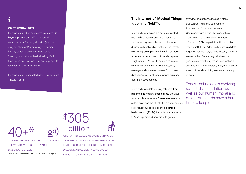## *i*

### **ON PERSONAL DATA**

Personal data within connected care extends beyond patient data. While patient data remains crucial for many domains (such as drug development), increasingly, data from healthy people is gaining in importance. 'Healthy data' helps us lead a healthy life. It fuels preventive care and empowers people to take control over their health.

Personal data in connected care = patient data + healthy data

### **The Internet-of-Medical-Things is coming (IoMT).**

More and more things are being connected and the healthcare industry is following suit. By connecting wearables and implantable devices with networked systems and remote monitoring, an unparalleled wealth of more accurate data can be continuously captured. Insights from IoMT could be used to improve adherence, define better diagnoses, and, more generally speaking, amass from these data lakes, new insights to advance drug and treatment development.

More and more data is being collected from patients and healthy people alike. Consider, for example, the various fitness trackers that collect an avalanche of data from a very diverse set of (healthy) people, or the **electronic** health record (EHRs) for patients that enable S<br>3505<br>3<sup>GPs and specialized physicians to get an<br>305</sup>

overview of a patient's medical history. But connecting all this data remains troublesome, for a variety of reasons. Compliancy with privacy laws and ethical management of personally identifiable information (PII) keeps data within silos. And often, rightfully so. Additionally, putting all data together just like that, isn't necessarily the right answer either. Data is only valuable when it generates relevant insights and conventional IT systems are unfit to capture, analyse or manage the continuously evolving volume and variety of data.

Today, technology is evolving so fast that legislation, as well as our human, moral and ethical standards have a hard time to keep up.

 billion  $\frac{4}{5}$ %  $\mathcal{O}$ 

… OF HEALTHCARE ORGANIZATIONS ACROSS THE WORLD WILL USE IOT-ENABLED BIOSENSORS BY 2019. Source: Worldwide Healthcare IT 2017 Predictions, report

A REPORT BY GOLDMAN SACHS ESTIMATED THAT THE TOTAL SAVINGS OPPORTUNITY OF IOMT COULD REACH \$305 BILLION. CHRONIC DISEASE MANAGEMENT ALONE COULD AMOUNT TO SAVINGS OF \$200 BILLION.

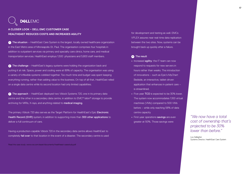## **DEALEMC**

### **A CLOSER LOOK – DELL EMC CUSTOMER CASE HEALTHEAST REDUCES COSTS AND INCREASES AGILITY**

**1** The situation – HealthEast Care System is the largest, locally owned healthcare organization in the East Metro area of Minneapolis-St. Paul. The organisation comprises four hospitals in addition to outpatient services via primary and specialty care clinics, home care, and medical transportation services. HealthEast employs 1,500 physicians and 5,800 staff members.

**2** The challenge – HealthEast's legacy systems were holding the organization back and putting it at risk. Space, power and cooling were at 89% of capacity. The organisation was using a variety of inflexible systems cobbled together. Too much time and budget was spent keeping everything running, rather than adding value to the business. On top of all that, HealthEast relied on a single data centre while its second location had only limited capabilities.

**3** The approach – HealthEast deployed two Vblock Systems 720, one in its primary data centre and the other in a secondary data centre, in addition to EMC® Isilon® storage to provide archiving for MRIs, X-rays, and anything related to medical imaging.

The primary Vblock 720 also serves as the Target Platform for HealthEast's Epic Electronic Health Record (EHR) system, in addition to supporting more than 300 other applications to deliver a full continuum of care.

Having a production-capable Vblock 720 in the secondary data centre allows HealthEast to completely fail over to that location in the event of a disaster. The secondary centre is used

Read the case study: www.vce.com/asset/documents/healtheast-casestudy.pdf

for development and testing as well. EMCs VPLEX assures near real-time data replication between the two sites. Now, systems can be brought back up quickly after a failure.

### **<sup>4</sup>** The result

- **•** Increased agility: the IT team can now respond to requests for new servers in hours rather than weeks. The introduction of innovations – such as Epic's MyChart Bedside, an interactive, tablet-driven application that enhances in-patient care – is streamlined.
- **•** Five-year TCO is expected to be 30% lower. The system now accommodates 1,100 virtual machines (VMs) compared to 500 VMs before – while only reaching 58% of data centre capacity
- **•** First-year operations savings are even greater at 50%. Those savings were

*"We now have a total cost of ownership that's projected to be 30% lower than before."*

Lou Gallagher Systems Director, HealthEast Care System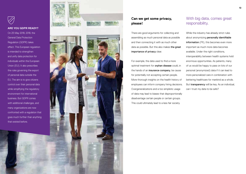

### **ARE YOU GDPR READY?**

On 25 May 2018, 2018, the General Data Protection Regulation (GDPR) takes effect. This European regulation is intended to strengthen and unify data protection for individuals within the European Union (EU). It also prescribes the rules governing the export of personal data outside the EU. The aim is to give citizens control over their personal data while simplifying the regulatory environment for international business. But GDPR comes with additional challenges, and many organizations are now confronted with a regulation that goes much further than anything that existed before.



### **Can we get some privacy, please!**

There are good arguments for collecting and assembling as much personal data as possible and then connecting it with as much other data as possible. But this also makes the great importance of privacy clear.

For example, the data used to find a more optimal treatment for orphan disease could, in the hands of an *insurance company*, be cause for potentially not accepting certain people. More thorough insights on the health history of employees can inform company hiring decisions. Overgeneralizations and a too simplistic usage of data may lead to biases that disproportionally disadvantage certain people or certain groups. This could ultimately lead to a less fair society.

### With big data, comes great responsibility.

While the industry has already strict rules about anonymizing personally identifiable information (PII), this becomes even more important as much more data becomes available. Under the right conditions, interoperability between health systems hold enormous opportunities. As patients, many of us would be happy to pass on lots of our personal (anonymized) data if it can lead to more personalized care in combination with bettering healthcare for mankind as a whole. But transparency will be key. As an individual, can I trust my data to be safe?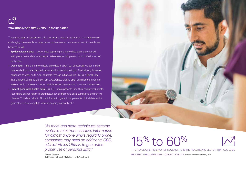# **TOWARDS MORE OPENNESS – 3 MORE CASES**

There is no lack of data as such. But generating useful insights from the data remains challenging. Here are three more cases on how more openness can lead to healthcare benefits for all.

- **•** Epidemiological data better data capturing and more data sharing combined with predictive analytics can help to take measures to prevent or limit the impact of outbreaks.
- **•** Open data more and more healthcare data is open, but accessibility is still limited due to a lack of data standardization and hurdles to sharing it. The industry, however, continues to work on this, for example through initiatives like CDISC (Clinical Data Interchange Standards Consortium). Awareness around open data also continues to evolve, not in the least amongst publicly funded research institutes and universities.
- **•** Patient-generated health data (PGHD) more patients (and their caregivers) create, record and gather health-related data, such as biometric data, symptoms and lifestyle choices. This data helps to fill the information gaps, it supplements clinical data and it generates a more complete view on ongoing patient health.

*"As more and more techniques become available to extract sensitive information for almost anyone who's regularly online, companies may need an additional CEO, a Chief Ethics Officer, to guarantee proper use of personal data."* 

Philippe Gosseye Sr. Director HighTouch Marketing – EMEA, Dell EMC 15% to 60%

20 21 22 23 24 25 26 27 28 29 20 21 22 23 24 25 26 27 28 29 29 20 21 22 23 24 25 26 27 27 28 29 20 21 22 23 24



THE RANGE OF EFFICIENCY IMPROVEMENTS IN THE HEALTHCARE SECTOR THAT COULD BE REALIZED THROUGH MORE CONNECTED DATA. Source: Volterra Partners, 2014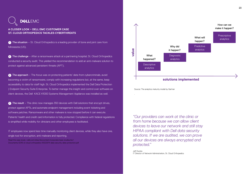### **DEALLEMC**

### **A CLOSER LOOK – DELL EMC CUSTOMER CASE ST. CLOUD ORTHOPEDICS TACKLES CYBERTHREATS**

**1** The situation – St. Cloud Orthopedics is a leading provider of bone and joint care from Minnesota (US).

**2** The challenge – After a ransomware attack at a partnering hospital, St. Cloud Orthopedics conducted a security audit. This yielded the recommendation to add an anti-malware solution to protect against advanced persistent threats (APT).

**3** The approach – The focus was on protecting patients' data from cybercriminals, avoid becoming a victim of ransomware, comply with increasing regulations but, at the same, keep accessibility to data for staff high. St. Cloud Orthopedics implemented the Dell Data Protection | Endpoint Security Suite Enterprise. To better manage the insight and control over software on client devices, the Dell KACE K1000 Systems Management Appliance was installed as well.

**4** The result – The clinic now manages 350 devices with Dell solutions that encrypt drives, protect against APTs, and automate endpoint management including event ticketing and software patches. Ransomware and other malware is now stopped before it can execute. Patients' health and credit card information is fully protected. Compliance with federal regulations is simplified while mobility for clinicians and other employees is facilitated.

IT employees now spend less time manually monitoring client devices, while they also have one, single tool for encryption, anti-malware and reporting.

Read the case study: i.dell.com/sites/doccontent/corporate/case-studies/en/ Documents/2016-st-cloud-orthopedics-10022974-data-security-data-protection.pdf



Source: The analytics maturity model by Gartner

.

*"Our providers can work at the clinic or from home because we can allow client devices to leave our network and still stay HIPAA compliant with Dell data security solutions. If we are audited, we can prove all our devices are always encrypted and protected."* 

Jeff Duclos IT Director of Network Administration, St. Cloud Orthopedics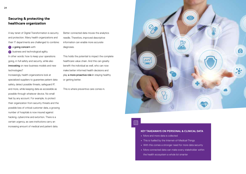### **Securing & protecting the healthcare organization**

A key tenet of Digital Transformation is security and protection. Many health organizations and their IT departments are challenged to combine:

**1** a going concern with

**2** business and technological agility. In other words: how to keep your operations going, in full safety and security, while also innovating on new business models and new technologies?

Increasingly, health organizations look at specialized suppliers to guarantee patient data safety, detect possible threats, safeguard IP, and more, while keeping data as accessible as possible through whatever device. No small feat by any account. For example, to protect their organization from security threats and the possible loss of critical customer data, a growing number of hospitals is now insured against hacking, cybercrime and extortion. There is a certain urgency, as care institutions carry an increasing amount of medical and patient data.

Better connected data moves the analytics needle. Therefore, improved descriptive information can enable more accurate diagnoses.

This holds the potential to impact the complete healthcare value chain. And this can greatly benefit the individual as well, who can now make better informed health decisions and play **a more proactive role in** staying healthy or getting better.

This is where preventive care comes in.



### 巨斗

### **KEY TAKEAWAYS ON PERSONAL & CLINICAL DATA**

- **•** More and more data is collected
- **•** This is fuelled by the Internet-of-Medical-Things
- **•** With this comes a stronger need for more data security
- **•** More connected data can make every stakeholder within

the health ecosystem a whole lot smarter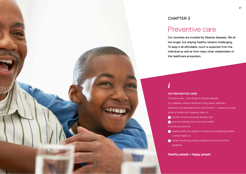

### CHAPTER 3

### Preventive care

Our societies are troubled by lifestyle diseases. We all live longer, but staying healthy remains challenging. To keep it all affordable, much is expected from the individual as well as from many other stakeholders in the healthcare ecosystem.

### **ON PREVENTIVE CARE**

Preventive care - often linked to lifestyle diseases (e.g. diabetes, obesity, alcohol and drug abuse, sedentary behaviours and physical activity, and nutrition) - consists of a wide series of actions and measures taken to **1** prevent chronic and acute diseases and *I* ON PREVENTIVE CARE<br>Preventive care - often linked to lifestyle d<br>(e.g. diabetes, obesity, alcohol and drug ab<br>behaviours and physical activity, and nutrit<br>series of actions and measures taken to<br>**O** prevent chronic and

**2** promote individual and community health.

It can be as diverse as

- 1<sup>1</sup> staying healthy by regularly working out and adopting healthy nutrition habits, to
- **2** closely monitoring existing conditions to prevent further escalation.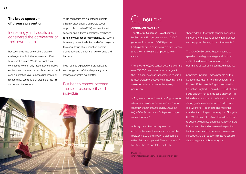### **The broad spectrum of disease prevention**

Increasingly, individuals are considered the gatekeeper of their own health.

But each of us face personal and diverse challenges that limit the way we can offset future health issues. We do not control our own genes. We can only moderately control our environment. We even have only modest control over our lifestyle. Over-emphasizing individual responsibility poses risks of creating a less fair and less ethical society.

While companies are expected to operate ethically, often under a corporate social responsible umbrella (CSR), our meritocratic societies and cultures increasingly emphasize ISR: individual social responsibility. But such a is, in many cases, too limited and often neglects the social fabric of our societies, genetic dispositions and elements of pure chance and bad luck.

Much can be expected of individuals, and technology can definitely help many of us to manage our health even better.

But health cannot become the sole responsibility of the individual.





### **GENOMICS ENGLAND**

The 100,000 Genomes Project, initiated by Genomics England, sequences 100,000 genomes from around 70,000 people. Participants are 1) patients with a rare disease (and their families) and 2) patients with cancer.

With around 160,000 cancer deaths a year and over 330,000 new cases reported a year in the UK alone, every advancement in this field is most welcome. Especially as these numbers are expected to rise due to the ageing population.

*"Many more cancer types, including those for which there is hardly any successful current treatments such as lung cancer, could be helped if only we knew which gene changes were important."*

Although rare diseases may seem less common, because there are so many of them (between 5,000 and 8,000), a staggering 3 million Brits are impacted. That amounts to 6 to 7% of the UK population or 1 in 17.

Read the blog: emergingtechblog.emc.com/big-data-genome-project/ "Knowledge of the whole genome sequence may identify the cause of some rare diseases and help point the way to new treatments."

The 100,000 Genomes Project intends to speed up the diagnosis stage and, in time, enable the development of more precise treatments as well as personalized medicine.

Genomics England – made possible by the National Institute for Health Research, NHS England, Public Health England and Health Education England – uses a DELL EMC hybrid cloud platform for its large scale analytics. An Isilon data lake is used to collect all the data during genome sequencing. The Isilon data lake will store 17PB of data and make this available for multi-protocol analytics. Alongside this, 24 X-Bricks of all-flash XtremIO is in place to support virtualised applications. EMC's Data Domain and Networker are used to provide back-up services. The net result is a resilient infrastructure that supports massive scalable data storage with robust analytics.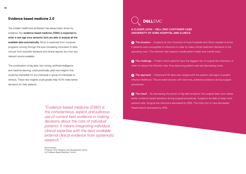### **Evidence based medicine 2.0**

The modern healthcare profession has always been driven by evidence. But evidence-based medicine (EBM) is expected to enter a new age once semantic bots are able to analyse all the available data automatically. Much is expected from computer programs running through the ever-increasing mountains of data, not just from scientific literature and clinical reports, but from any relevant source available.

The combination of big data, text mining, artificial intelligence and machine learning, could potentially yield new insights that would be impossible for any individual or group of individuals to retrieve. These new insights could greatly help HCPs make better decisions for their patients.

> *"Evidence-based medicine (EBM) is the conscientious, explicit and judicious use of current best evidence in making decisions about the care of individual patients. It means integrating individual clinical expertise with the best available external clinical evidence from systematic research."*

David Sackett Professor, NHS Research and Development Centre for Evidence Based Medicine, Oxford



### **A CLOSER LOOK – DELL EMC CUSTOMER CASE UNIVERSITY OF IOWA HOSPITAL AND CLINICS**

**1** The situation – Surgeons at the University of Iowa Hospitals and Clinics needed to know if patients were susceptible to infections in order to make critical treatment decisions in the operating room. The infection rate impacts overall patient health and overall costs.

**2** The challenge – Predict which patients have the biggest risk of surgical site infections, in order to reduce the infection rate, thus improving patient care and decreasing costs.

**<sup>3</sup>** The approach – Historical EHR data was merged with live patient vital signs to predict infection likelihood. This provided doctors with real-time, predictive analytics during surgical procedures.

**4** The result – By harnessing the power of big data analytics, the surgical team now makes better evidence-based decisions during surgical procedures. Surgeons are able to keep more patients safe. Surgical site infections decreased by 58%. The total cost of care decreased. Readmissions decreased by 40%.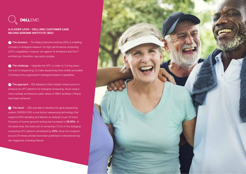

### **A CLOSER LOOK – DELL EMC CUSTOMER CASE BEIJING GENOME INSTITUTE (BGI)**

**1** The situation – The Beijing Genome Institute (BGI) is a leading company in biological research. Its high-performance computing (HPC) capabilities, however, ran against its limitations and the IT architecture, therefore, was quite complex.

**2** The challenge – Upgrade the HPC, in order to 1) bring down the cost of sequencing, 2) make sequencing more widely accessible, 3) enhance the organization's biological research capabilities.

**<sup>3</sup>** The approach – BGI adopted a Dell modular infrastructure to enhance its HPC platform for biological computing. Since using a more modular architecture, peak values of 288.5 teraflops (Tflops) have been achieved.

**4** The result – BGI was able to develop the gene sequencing system, BGISEQ-500, a one-button sequencing technology that supports DNA sampling and delivers an analysis in just 24 hours. Precision of human genome testing has increased to 99.99%. At the same time, the total cost of ownership (TCO) of the biological computing HPC platform diminished by 20%. Since the inception, around 214 thesis articles have been published in international toptier magazines, including Nature.

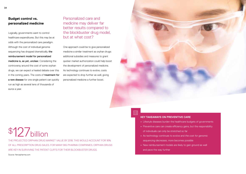### **Budget control vs. personalized medicine**

Logically, governments want to control healthcare expenditures. But this may be at odds with the personalized care paradigm. Although the cost of individual genome sequencing has dropped dramatically, the reimbursement model for personalized medicine is, as yet, unclear. Considering the controversy around the cost of some orphan drugs, we can expect a heated debate over this in the coming years. The costs of treatment for a rare disease for one single patient can quickly run as high as several tens of thousands of euros a year.

Personalized care and medicine may deliver far better results compared to the blockbuster drug model, but at what cost?

One approach could be to give personalized medicine a similar treatment as orphan drugs: additional subsidies and measures to grant quicker market authorization could help boost the development of personalized medicine. As technology continues to evolve, costs are expected to drop further as well, giving personalized medicine a further boost.



### Eš

### **KEY TAKEAWAYS ON PREVENTIVE CARE**

- **•** Lifestyle diseases burden the healthcare budgets of governments
- **•** Preventive care can create efficiency gains, but the responsibility of individuals can only be stretched so far
- **•** As technology continues to evolve and *the cost for genomic sequencing decreases*, more becomes possible
- **•** New reimbursement models are likely to gain ground as well and pave the way further

## \$127billion

THE PROJECTED ORPHAN DRUG MARKET VALUE BY 2018. THIS WOULD ACCOUNT FOR 16% OF ALL PRESCRIPTION DRUG SALES. FOR MANY BIG PHARMA COMPANIES, ORPHAN DRUGS ARE KEY IN SURVIVING THE PATENT CLIFES FOR THEIR BLOCKBUSTER DRUGS.

Source: fiercepharma.com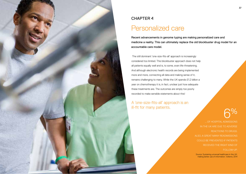

### CHAPTER 4

### Personalized care

Recent advancements in genome typing are making personalized care and medicine a reality. This can ultimately replace the old blockbuster drug model for an accountable care model.

 The still dominant 'one-size-fits-all' approach is increasingly considered too limited. This blockbuster approach does not help all patients equally well and is, to some, even life-threatening. And although electronic health records are being implemented more and more, connecting all data and making sense of it, remains challenging to many. While the UK spends £1.2 billion a year on chemotherapy it is, in fact, unclear just how adequate these treatments are. The outcomes are simply too poorly recorded to make sensible statements about this!

A 'one-size-fits-all' approach is an ill-fit for many patients.

6 %

... OF HOSPITAL ADMISSIONS IN THE UK ARE DUE TO ADVERSE REACTIONS TO DRUGS. ALSO, A GREAT MANY READMISSIONS COULD BE PREVENTED IF PATIENTS RECEIVED THE RIGHT KIND OF FOLLOW-UP.

Source: Sustaining universal healthcare in the UK: making better use of information. Volterra, 2014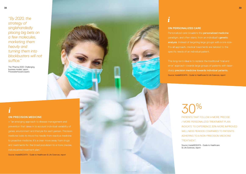The 'Pharma 2020: Challenging business models' report, PricewaterhouseCoopers

### **ON PRECISION MEDICINE** *i*

= "an emerging approach to disease management and genes, environment and lifestyle for each person. Precision medicine looks to move the needle from reactive medicine to proactive medicine. It's a clear move away from drugs and treatments for the broad population to a more precise, individualized treatment plan."

Source: InsideBIGDATA - Guide to Healthcare & Life Sciences, report



### **ON PERSONALIZED CARE**

Personalized care broadens the personalized medicine paradigm, and often starts from an individual's genetic analysis. Instead of targeting large groups with a one-sizefits-all approach, medical treatments are tailored to the

error' approach towards large groups of patients with lasersharp precision medicine towards individual patients. Source: InsideBIGDATA - Guide to Healthcare & Life Sciences, report

# 30%

PATIENTS THAT FOLLOW A MORE PRECISE / MORE PERSONALIZED TREATMENT PLAN INDICATE TO EXPERIENCE 30% MORE IMPROVED WELLNESS PERIODS COMPARED TO PATIENTS ADHERING TO A NON-PRECISION MEDICINE TREATMENT.

Source: InsideBIGDATA - Guide to Healthcare & Life Sciences, report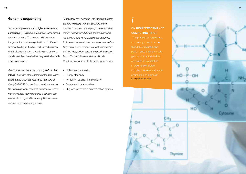### **Genomic sequencing**

Technical improvements in **high-performance** computing (HPC) have dramatically accelerated genomic analysis. The newest HPC systems for genomics provide organizations of different sizes with a highly flexible, end-to-end solution that includes storage, networking and analysis capabilities that were before only attainable with a supercomputer.

*Genomic applications are typically I/O or disk intensive, rather than compute intensive. These applications often process large numbers of files (15–200GB in size) in a specific sequence. So from a genomic research perspective, what matters is how many genomes a solution can process in a day, and how many kilowatts are needed to process one genome.*

*Tests show that genomic workloads run faster on HPC clusters with denser, bare-metal architectures and that larger processors often remain underutilized during genomic analysis. As a result, solid HPC systems for genomics include numerous midsize processors as well as large amounts of memory so that researchers get the fast performance they need to support both I/O- and disk-intensive workloads.*  What to look for in a HPC system for genomics:

- **•** High-speed processing
- **•** Energy efficiency
- **•** Reliability, flexibility and scalability
- **•** Accelerated data transfers
- **•** Plug-and-play versus customization options

## *i*

### **ON HIGH PERFORMANCE COMPUTING (HPC)**

"The practice of aggregating computing power in a way that delivers much higher performance than one could computer or workstation in order to solve large, complex problems in science, engineering or business." Source: InsideHPC.com

Thymine

Cytosin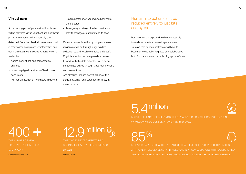### **Virtual care**

An increasing part of personalized healthcare will be delivered virtually: patient and healthcare provider interaction will increasingly become detached from the physical presence and will in many cases be replaced by information and communication technologies. A trend which is fuelled by …

- **•** Ageing populations and demographic changes
- **•** Increasing digital savviness of healthcare consumers
- **•** Further digitization of healthcare in general
- **•** Governmental efforts to reduce healthcare expenditures
- **•** An ongoing shortage of skilled healthcare staff to manage all patients face-to-face.

Patients play a role in this by using at-homedevices as well as through ongoing data collection (e.g. through wearables and apps). Physicians and other care providers can set to work with the data collected and provide personalized advice through video-conferencing and telemedicine.

And although lots can be virtualized, at this stage, actual human interaction is still key in many instances.

### Human interaction can't be reduced entirely to just bits and bytes.

But healthcare is expected to shift increasingly towards more virtual versus in-person care. To make that happen healthcare will have to become increasingly integrated and collaborative, both from a human and a technology point of view.

## 5.4 million



MARKET RESEARCH FIRM IHS MARKIT ESTIMATES THAT GPs WILL CONDUCT AROUND 5.4 MILLION VIDEO CONSULTATIONS A YEAR BY 2020.

# 85%

UK-BASED BABYLON HEALTH – A START-UP THAT DEVELOPED A CHATBOT THAT MIXES ARTIFICIAL INTELLIGENCE (AI) AND VIDEO AND TEXT CONSULTATIONS WITH DOCTORS AND SPECIALISTS – RECKONS THAT 85% OF CONSULTATIONS DON'T HAVE TO BE IN PERSON.

# 400

THE NUMBER OF NEW HOSPITALS BUILT IN CHINA EVERY YEAR.

Source: economist.com

## million

THE WHO EXPECTS THERE TO BE A SHORTAGE OF 12.9 MILLION CLINICIANS BY 2025. Source: WHO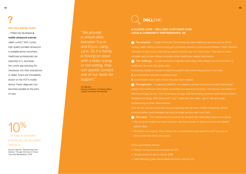### **DID YOU KNOW THAT…**  ?

… Philips has developed a mobile ultrasound scanner, called Lumify? With Lumify, high-quality portable ultrasound is available almost anywhere. Healthcare professionals can subscribe to it, download the Lumify app and plug the transducer into their smartphone or tablet. Scans are immediately shown on the HCP's mobile device. Faster diagnosis now becomes possible at the pointof-care.

10% … OF CARE IN WESTERN EUROPE WILL BE DELIVERED VIRTUALLY.

Source: Gartner, Transforming Care Delivery Through the Use of Virtual Care and Telemedicine, 2016

*"We provide a virtual clinic between 5 p.m. and 8 p.m. using Lync. So if a family is having an issue with a baby crying or not eating, they can quickly contact one of our team for support."*

Jim Barwick Executive Director of Transformation, Locala Community Partnerships

## **DEALL FMC**

### **A CLOSER LOOK – DELL EMC CUSTOMER CASE LOCALA COMMUNITY PARTNERSHIPS, UK**

**1** The situation – Locala Community Partnerships provides healthcare services such as district nursing, health visiting, school nursing and community dentistry in and around Kirklees in West Yorkshire. Clinicians on the move could call up patient records, but not much more. They had to make multiple trips to their offices to access other healthcare-related documents.

**2** The challenge – Locala wanted to integrate technology more deeply into the provision of healthcare services. Key goals were

**1.** boosting caregiver access to real-time patient data while being active in the field,

**2.** provide better services to patients and

**3.** concentrate home visits where they are most needed.

**3** The approach – Locala and DellEMC co-created a private cloud environment that keeps patient and healthcare data highly accessible and secure at all times. The solution was based on Dell PowerEdge servers, Dell PowerVault storage, Dell Networking switches and Dell SonicWALL firewall technology. With Microsoft® Lync™, staff can now make use of web and video conferencing on their client devices.

All in all, the solution combined cloud computing and services, mobile computing, unified communications and managed services (a single service desk from Dell).

**4** The result – The overall service towards the patients has drastically improved because:

- **•** Personnel at Locala now have constant, real-time access to clinical records and related patient data.
- **•** Residents can register their interest for e-consultations and speak to a GP via Lync at times when the clinics are closed.

Some quantifiable effects:

- **•** Patient-facing time has increased by 5%.
- **•** Virtual contact is set to rise by 20%.
- **•** Staff efficiency gains have helped to lower costs by 5%.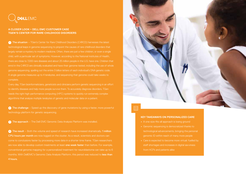

### **A CLOSER LOOK – DELL EMC CUSTOMER CASE TGEN'S CENTER FOR RARE CHILDHOOD DISORDERS**

**1** The situation – TGen's Center for Rare Childhood Disorders (C4RCD) harnesses the latest technological leaps in genome sequencing to pinpoint the causes of rare childhood disorders that largely remain a mystery to modern medicine. Often, there are just a few children, or even a single child, with a particular set of symptoms. However, according to the National Institutes of Health, there are close to 7,000 rare diseases and about 25 million people in the U.S. have one. Children that enrol in the C4RCD are clinically evaluated and have their genome tested, including the use of whole genome sequencing, spelling out the entire 3 billion letters of each individual's DNA genetic code. A single genome measures up to 4 terabytes, and sequencing that genome could take weeks to complete.

Every day, TGen bioinformaticians, geneticists and clinicians perform genetic sequencing in an effort to identify diseases and help more people survive them. To accurately diagnose disorders, TGen needs the right high-performance computing (HPC) systems to quickly run extremely complex algorithms that analyse multiple terabytes of genetic and molecular data on a patient.

**2** The challenge – Speed up the discovery of gene mutations by using a faster, more powerful

**3** The approach – The Dell EMC Genomic Data Analysis Platform was installed.

**4** The result – Both the volume and speed of research have increased dramatically. **1 million** CPU hours per month are now logged on the cluster. As a result, scientists and doctors can come to conclusions faster by processing more data in a shorter time frame. TGen researchers are now able to develop custom treatments at least one week faster than before. For example, conventional genome mapping for a personalized treatment for neuroblastoma can take up to 6 months. With DellEMC's Genomic Data Analysis Platform, this period was reduced to less than 4 hours.



### **KEY TAKEAWAYS ON PERSONALIZED CARE**

- **•** A one-size-fits-all approach is losing ground
- **•** Genomic sequencing is democratized thanks to technological advancements, bringing the personal genomic ID within reach of many more people
- **•** Care is expected to become more virtual: fuelled by staff shortages and increases in digital savviness from HCPs and patients alike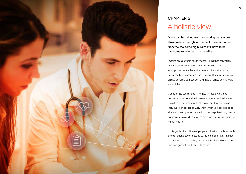

### CHAPTER 5 A holistic view

Much can be gained from connecting many more stakeholders throughout the healthcare ecosystem. Nonetheless, some big hurdles still have to be overcome to fully reap the benefits.

Imagine an electronic health record (EHR) that continually keeps track of your health. That collects data from your smartphone, wearables and, at some point in the future, implanted body sensors. A health record that starts from your unique genomic composition and that is refined as you walk through life.

Consider the possibilities if this health record would be connected to a centralized system that enables healthcare providers to monitor your health. A record that you, as an individual, can access as well. From which you can decide to share your anonymized data with other organisations (pharma companies, universities, etc.) to advance our understanding of human health.

Envisage this for millions of people worldwide, combined with the computing power needed to make sense of it all. In such a world, our understanding of our own health and of human health in general would multiply manifold.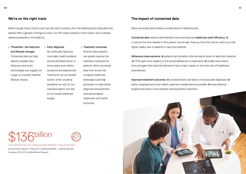Before we get there, there's much we still need to achieve. But the building blocks being laid now, already offer a glimpse of things to come. Our first steps towards a more holistic view is already delivering benefits in the fields of…

**•** Prevention, risk reduction and lifestyle changes. Connected data can help identify possible risky behaviour and smart technologies can suggest (or nudge us towards) healthier lifestyle choices.

**•** Early diagnosis. By continually capturing more data, health problems can be identified sooner, in some cases, even before symptoms are experienced. Treatments can be initiated sooner, which would be beneficial not only for the individual patient, but also to the overall healthcare budget.

**•** Treatment outcomes. Smarter data analytics can greatly improve the treatment outcomes for patients. More connected data from across the complete healthcare landscape could help physicians to make better diagnoses and prescribe more personalized treatments with better outcomes.

### **We're on the right track The impact of connected data**

More connected data initiates a whole series of related events.

Connected data reduces administration time and improves healthcare staff efficiency **>** it reduces the time needed to find patient records **>** it frees up time that can be used to provide higher quality care to patients or see more patients.

Adherence improvements **>** patients can be better informed about when to take their medicine **>** HCPs gain more insights on the actual adherence to treatments **>** studies have shown time and again that improved adherence has a major impact on the total cost of healthcare expenditures.

Improved treatment outcomes **>** connected data can lead to more accurate diagnoses **>** better integrated and more holistic treatment models become possible **>** more effective programmes lead to more patients receiving better treatment.

## **billion**

CTED IOT HEALTHCARE MARKET VALUE BY 2021.

Source: World Internet of Things (IoT) Healthcare Market – Opportunities and Forecasts, 2014-2021, by Allied Market Research

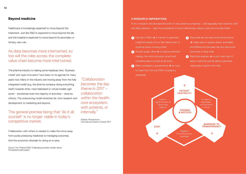Healthcare is increasingly expected to move beyond the treatment. Just like R&D is expected to move beyond the lab and the hospital is expected to move beyond its secondary or tertiary care role.

### As data becomes more intertwined, so too will the roles across the complete value chain become more intertwined.

The pharma industry is making some headway here. 'Business model' and 'open innovation' have been on its agenda for many years now. Many in the industry are moving away from the fully integrated model (e.g. the pharma company doing everything itself) towards other, more federated or virtual models (get some – sometimes even the majority of activities – done by others). The outsourcing model stretches far, from research and development to marketing and beyond.

### The general premise being that 'do it all yourself' is no longer viable in today's competitive market.

Collaboration with others is needed to make the move away from purely producing medicines to managing outcomes. And the economic rationale for doing so is sane.

Source: The 'Pharma 2020: Challenging business models' report, PricewaterhouseCoopers

*"Collaboration becomes the key theme in 2017 – collaboration within the healthcare ecosystem, with patients, or internally."*

Deloitte, Perspectives – Life Sciences Industry Outlook 2017

### **5 RESEARCH IMPERATIVES**

From a research and development point of view, pharma companies – and especially their scientific staff and data scientists – face five imperatives to boost efficiencies, reduce costs and innovate faster:

- **<sup>1</sup>** Fail fast in R&D **>** it's better to generate insightful results from a fast failure then to continue down a losing street.
- **2** Access quality data → to improve decisionmaking, the most accurate, recent and complete data is crucial at all times.
- **<sup>3</sup>** Meet compliancy requirements **>** be sure to meet the FDA and EMA compliancy standards.
- **4** Reconcile lab and real-world performance **→ make sure to quickly detect anomalies** and differences between lab and real-world outcomes in drug trials.
- **<sup>5</sup>** Real-time analysis **>** crunch vast sets of data in real time and be able to generate meaningful insights from this.

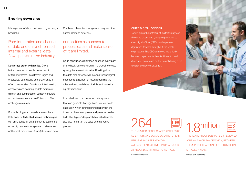### **Breaking down silos**

Management of data continues to give many a headache.

Poor integration and sharing of data and unsynchronized internal and external data flows persist in the industry.

Data stays stuck within silos. Only a limited number of people can access it. Different systems use different logics and ontologies. Data quality and provenance is often questionable. Data is not linked making comparing and collating of data extremely difficult and cumbersome. Legacy hardware and software create an inefficient mix. The challenges are many.

But technology can provide answers here. Data lakes or federated search technologies can bring together data. Semantic search and other big data technologies can make sense of the vast mountains of (un-)structured data. Combined, these technologies can augment the human element. After all…

### our abilities as humans to process data and make sense of it are limited.

So, in conclusion, digitization touches every part of the healthcare continuum. It's crucial to create synergy between all domains. Breaking down the data silos extends well beyond technological boundaries. Last but not least: redefining the roles and responsibilities of all those involved is equally important.

In an ideal world, a connected data system that can generate findings based on real-world data upon which strong partnerships with the industry, physicians, payers and patients can be built. This type of deep analytics will ultimately also play its part in the sales and marketing process.

### **CHIEF DIGITAL OFFICER**

To fully grasp the potential of digital throughout the entire organization, assigning a dedicated chief digital officer (CDO) can help move digitization forward throughout the whole organization. The CDO can move more fluidly between departments, be a facilitator to break down silo-thinking and be the crucial driving force towards complete digitization.

264 THE NUMBER OF SCHOLARLY ARTICLES US SCIENTISTS AND SOCIAL SCIENTISTS READ PER YEAR (= 22 PER MONTH). AVERAGE READING TIME HAS PLATEAUED AT AROUND 30 MINUTES PER ARTICLE. Source: Nature.com





THERE ARE AROUND 28,100 PEER-REVIEWED JOURNALS WORLDWIDE WHICH, BETWEEN THEM, PUBLISH AROUND 1.7 TO 1.8 MILLION ARTICLES A YEAR.

Source: stm-assoc.org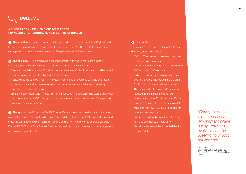## **DELLEMC**

### **A CLOSER LOOK – DELL EMC CUSTOMER CASE ROYAL VICTORIA REGIONAL HEALTH CENTRE UPGRADES**

**1** The situation – Located in central Ontario (CA), north of Toronto, Royal Victoria Regional Health Centre (RVH) provides highly responsive healthcare to more than 450,000 residents across a large geographical area. RVH's team has more than 380 physicians and 2,500 staff members.

**2** The challenge – The organisation needed to improve its health information system. Ultimately, the physicians and staff of RVH identified three key challenges:

- **•** Create a consolidated view To deliver patient care more efficiently, all data should be brought together in a single view for physicians and clinicians.
- **•** Manage growing data volumes The system must be able to keep up with the enormous increases in data and achieve exceptional performance to make the information readily accessible to those who require it.
- **•** Eliminate costly migrations A new platform must accommodate changing technologies over the long term, so that RVH can grow with the system and eliminate the need for expensive migrations on a regular basis.

**3** The approach – RVH chose Dell EMC XtremIO for an always-on, in-line data optimization architecture. Data is now optimally compressed and deduplicated. Dell EMC Connectrix network switches guarantee maximum performance and scalability. RVH also relies on Dell EMC Data Domain DD4200 with Data Domain Boost for assured backup and recovery of its critical patient and business operations data.

### **<sup>4</sup>** The result –

The overall service towards the patients has drastically improved because:

- 60% to 80% performance gains on various applications and processes.
- **•** Responses to complex queries reduced from 3–5 seconds to 1–2 seconds.
- **•** Daily data repository runs now require just two hours, rather than taking more than a full 24-hour cycle as it had been before.
- **•** The time needed to run reports has been reduced from as much as eight hours before to as little as 15 minutes now. RVH's analytics team is able to perform more data mining of the MEDITECH EHR and can run more frequent reports.
- **•** Backup times have been reduced from eight hours to less than two hours daily.
- **•** Security is enhanced thanks to flash backup copies of data.

*"Caring for patients is a 24x7 business. Any moment where our system is not available has the potential to impact patient care."."*

Pat Harkins CTO – Informatics and Technology Services, Royal Victoria Regional Health Centre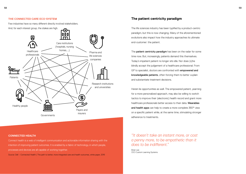### **THE CONNECTED CARE ECO-SYSTEM**

Few industries have so many different directly involved stakeholders.



### **The patient centricity paradigm**

The life sciences industry has been typified by a product-centric paradigm, but this is now changing. Many of the aforementioned evolutions also impact how the industry approaches its ultimate end-customer: the patient.

The patient centricity paradigm has been on the radar for some time now. But, increasingly, patients demand this themselves. Today's impatient patient no longer sits idle. Nor does (s)he blindly accept the judgement of a healthcare professional. From GP to specialist, doctors are confronted with empowered and knowledgeable patients, often forcing them to better explain and substantiate treatment decisions.

Herein lie opportunities as well. The empowered patient, yearning for a more personalized approach, may also be willing to switch tactics to improve their (electronic) health record and grant more healthcare professionals better access to their data. Wearables and health apps can help to create a more complete 360° view on a specific patient while, at the same time, stimulating stronger adherence to treatments.

### **CONNECTED HEALTH**

Connect health is a web of intelligent communication and actionable information sharing with the intention of improving patient outcomes. It is enabled by a fabric of technology, in which people, processes and devices are all capable of working together.

Source: Dell – Connected Health | The path to better, more integrated care and health outcomes, white paper, 2016

*"It doesn't take an instant more, or cost a penny more, to be empathetic than it does to be indifferent."*

Brian Lee CEO Custom Learning Systems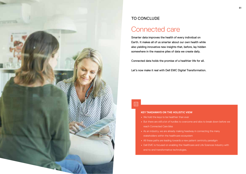

### TO CONCLUDE

### Connected care

Smarter data improves the health of every individual on Earth. It makes all of us smarter about our own health while also yielding innovative new insights that, before, lay hidden somewhere in the massive piles of data we create daily.

Connected data holds the promise of a healthier life for all.

Let's now make it real with Dell EMC Digital Transformation.

### 国

### **KEY TAKEAWAYS ON THE HOLISTIC VIEW**

- **•** We hold the keys to be healthier than ever
- **•** But there are still a lot of hurdles to overcome and silos to break down before we reach Connected Care bliss
- **•** As an industry, we are already making headway in connecting the many stakeholders within the healthcare ecosystem
- **•** All these paths are leading towards a new patient centricity paradigm
- **•** Dell EMC is focused on enabling the Healthcare and Life Sciences Industry with end-to-end transformative technologies.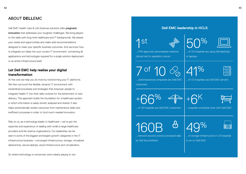### ABOUT **DELL**EMC

Dell EMC Health Care & Life Sciences solutions offer pragmatic **Dell EMC leadership in HCLS** innovation that addresses your toughest challenges. We bring players to the table with long-time healthcare and IT backgrounds. We assess your needs and opportunities and make solid recommendations designed to meet your specific business outcomes. And we know how to integrate our ideas into your current IT environment, connecting all applications and technologies required for a single solution deployment or an entire infrastructure build.

### **Let Dell EMC help realise your digital transformation**

At the core we help you do more by transforming your IT platforms. We then surround this flexible, dynamic IT environment with streamlined processes and strategies that empower people to integrate Health IT into their daily routines for the betterment of care delivery. This approach builds the foundation for a healthcare system in which information is easily stored, analysed and shared. It also helps systematically reclaim resources from maintenance tasks and inefficient processes in order to fund much-needed innovation.

Rely on us, as a technology leader in healthcare—we've got the expertise and experience of dealing with small to large healthcare providers and life science organizations. Our leadership can be seen in some of the biggest and largest growth categories in the IT infrastructure business—converged infrastructure, storage, virtualized datacentres, secure laptops, cloud infrastructure and virtualization.

So where technology is concerned, we're clearly playing to win.





|  | $\%$ |
|--|------|
|  |      |

… FDA-approved, personalized medicine clinical trial for paediatric cancer

… of US hospitals are using Dell desktops or laptops

7 of 10

| Z | 1% |
|---|----|
|   |    |

 … pharmaceutical companies are Dell EMC customers

… of US hospitals use Dell EMC servers

+66%





… of US hospitals are Dell EMC customers

… hospitals worldwide work with Dell EMC

160B

௹ … network security events processed daily

by Dell SecureWorks

49%

… of storage infrastructure in US hospitals

is run on Dell EMC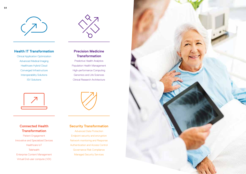



### **Health IT Transformation**

Clinical Application Optimization Advanced Medical Imaging Healthcare Hybrid Cloud Converged Infrastructure Interoperability Solutions ISV Solutions



### **Connected Health Transformation**

Patient Engagement Innovative and Specialized Devices Healthcare IoT **Telehealth** Enterprise Content Management Virtual End-user compute (VDI)

### **Precision Medicine Transformation**

Predictive Health Analytics Population Health Management High-performance Computing Genomics and Life Sciences Clinical Research Architecture



**Security Transformation** Advanced Data Protection Endpoint security and encryption Network monitoring and Response Authentication and Access Control Governance Risk Compliance Managed Security Services

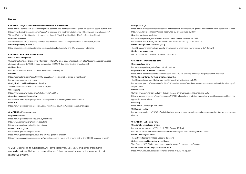#### **Sources**

#### **CHAPTER 1 - Digital transformation in healthcare & life sciences**

https://www2.deloitte.com/global/en/pages/life-sciences-and-healthcare/articles/global-life-sciences-sector-outlook.html https://www2.deloitte.com/global/en/pages/life-sciences-and-healthcare/articles/top-10-health-care-innovations.html# Volterra Partners, 2014, Sustaining Universal Healthcare In The UK: Making Better Use Of Information, Report

#### On chronic diseases

Volterra Partners, 2014, Sustaining Universal Healthcare In The UK: Making Better Use Of Information, Report

On Life expectancy in the EU http://ec.europa.eu/eurostat/statistics-explained/index.php/Mortality\_and\_life\_expectancy\_statistics

#### **CHAPTER 2 - Personal & clinical data**

On St. Cloud Orthopedics Caring for patients and their private information – Dell EMC client case. http://i.dell.com/sites/doccontent/corporate/case-

studies/en/Documents/2016-st-cloud-orthopedics-10022974-data-security-data-protection.pdf

On HealthEast

http://www.vce.com/asset/documents/healtheast-casestudy.pdf

On IoMT

https://econsultancy.com/blog/68878-10-examples-of-the-internet-of-things-in-healthcare/ https://www.propellerhealth.com/

### On digitization and breaking down the silos

The Extraverted Nerd, Philippe Gosseye, 2015, p 43 On open data

https://www.ncbi.nlm.nih.gov/pmc/articles/PMC4756607/

On patient generated health data https://www.healthit.gov/policy-researchers-implementers/patient-generated-health-data On GDPR:

https://en.wikipedia.org/wiki/General\_Data\_Protection\_Regulation#Discussion\_and\_challenges

### **CHAPTER 3 - Preventive care**

On preventive care https://en.wikipedia.org/wiki/Preventive\_healthcare http://www.ajpmonline.org/content/aboutinfo https://en.wikipedia.org/wiki/Lifestyle\_disease On Genomics England

https://www.genomicsengland.co.uk/ https://www.genomicsengland.co.uk/the-100000-genomes-project/ https://www.comparethecloud.net/news/genomics-england-works-with-emc-to-deliver-the-100000-genomes-project/

© 2017 Dell Inc. or its subsidiaries. All Rights Reserved. Dell, EMC and other trademarks are trademarks of Dell Inc. or its subsidiaries. Other trademarks may be trademarks of their respective owners.

#### On orphan drugs

https://www.thomsonreuters.com/content/dam/openweb/documents/pdf/pharma-life-sciences/white-paper/1001450.pdf http://www.fiercepharma.com/special-report/top-20-orphan-drugs-by-2018

### On evidence-based medicine

https://en.wikipedia.org/wiki/Evidence-based\_medicine#cite\_note-sackett2-22

https://www.ncbi.nlm.nih.gov/pmc/articles/PMC2349778/pdf/bmj00524-0009.pdf

On the Beijing Genome Institute (BGI) The BGI customer case 'Using a modular architecture to understand the mysteries of life', DellEMC

On Genomic sequencing Dell HPC System for Genomics – product information

#### **CHAPTER 4 - Personalized care**

On personalized care https://en.wikipedia.org/wiki/Personalized\_medicine On personalized care & reimbursement

https://www.personalizedmedicinebulletin.com/2015/11/02/3-pressing-challenges-for-personalized-medicine/

### On the TGen's Center for Rare Childhood Disorders

The TGen customer case 'Giving hope to children with rare disorders', DellEMC

https://www.tgen.org/home/news/archive/2012-media-releases/tgen-launches-center-for-rare-childhood-disorders.aspx#. WNi-w<sub>2</sub> yino

#### On virtual care

Gartner, 'Transforming Care Delivery Through the Use of Virtual Care and Telemedicine', 2016 http://www.economist.com/news/business/21717990-telemedicine-predictive-diagnostics-wearable-sensors-and-host-newapps-will-transform-how

On Lumify

https://www.lumify.philips.com/web/

### On Babylon Health

https://techcrunch.com/2017/01/04/babylon-health-partners-with-uks-nhs-to-replace-telephone-helpline-with-ai-poweredchathot/

#### **CHAPTER 5 - A holistic view**

#### On scientific journals and articles

http://www.stm-assoc.org/2012\_12\_11\_STM\_Report\_2012.pdf ; p 22

http://www.nature.com/news/scientists-may-be-reaching-a-peak-in-reading-habits-1.14658

On the Chief Digital Officer The Extraverted Nerd, Philippe Gosseye, 2015, p 46

#### On business model innovation in healthcare

The 'Pharma 2020: Challenging business models' report, PricewaterhouseCoopers

### On the Royal Victoria Regional Health Centre

https://www.emc.com/collateral/customer-profiles/h15919-rvh-cp.pdf